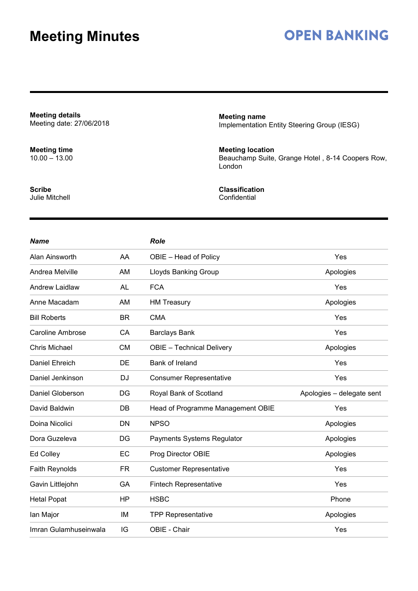## **OPEN BANKING**

**Meeting details** Meeting date: 27/06/2018

**Meeting time** 10.00 – 13.00

**Scribe** Julie Mitchell **Meeting name** Implementation Entity Steering Group (IESG)

**Meeting location** Beauchamp Suite, Grange Hotel , 8-14 Coopers Row, London

**Classification Confidential** 

| <b>Name</b>             |           | <b>Role</b>                       |                           |
|-------------------------|-----------|-----------------------------------|---------------------------|
| Alan Ainsworth          | AA        | OBIE - Head of Policy             | Yes                       |
| Andrea Melville         | AM        | Lloyds Banking Group              | Apologies                 |
| <b>Andrew Laidlaw</b>   | AL        | <b>FCA</b>                        | Yes                       |
| Anne Macadam            | AM        | <b>HM Treasury</b>                | Apologies                 |
| <b>Bill Roberts</b>     | <b>BR</b> | <b>CMA</b>                        | Yes                       |
| <b>Caroline Ambrose</b> | CA        | <b>Barclays Bank</b>              | Yes                       |
| <b>Chris Michael</b>    | <b>CM</b> | <b>OBIE</b> - Technical Delivery  | Apologies                 |
| Daniel Ehreich          | DE        | Bank of Ireland                   | Yes                       |
| Daniel Jenkinson        | <b>DJ</b> | <b>Consumer Representative</b>    | Yes                       |
| Daniel Globerson        | DG        | Royal Bank of Scotland            | Apologies - delegate sent |
| David Baldwin           | DB        | Head of Programme Management OBIE | Yes                       |
| Doina Nicolici          | <b>DN</b> | <b>NPSO</b>                       | Apologies                 |
| Dora Guzeleva           | DG        | Payments Systems Regulator        | Apologies                 |
| Ed Colley               | EC        | Prog Director OBIE                | Apologies                 |
| <b>Faith Reynolds</b>   | FR        | <b>Customer Representative</b>    | Yes                       |
| Gavin Littlejohn        | GA        | <b>Fintech Representative</b>     | Yes                       |
| <b>Hetal Popat</b>      | <b>HP</b> | <b>HSBC</b>                       | Phone                     |
| lan Major               | IM        | <b>TPP Representative</b>         | Apologies                 |
| Imran Gulamhuseinwala   | IG        | OBIE - Chair                      | Yes                       |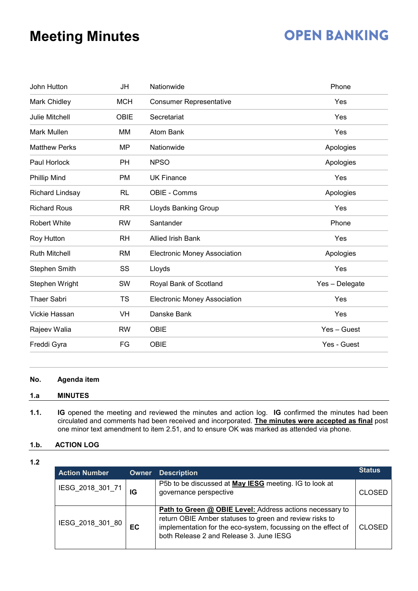# **OPEN BANKING**

| John Hutton           | JH          | Nationwide                          | Phone          |
|-----------------------|-------------|-------------------------------------|----------------|
| Mark Chidley          | <b>MCH</b>  | <b>Consumer Representative</b>      | Yes            |
| <b>Julie Mitchell</b> | <b>OBIE</b> | Secretariat                         | Yes            |
| Mark Mullen           | МM          | Atom Bank                           | Yes            |
| <b>Matthew Perks</b>  | <b>MP</b>   | Nationwide                          | Apologies      |
| Paul Horlock          | PH          | <b>NPSO</b>                         | Apologies      |
| <b>Phillip Mind</b>   | PM          | <b>UK Finance</b>                   | Yes            |
| Richard Lindsay       | <b>RL</b>   | OBIE - Comms                        | Apologies      |
| <b>Richard Rous</b>   | <b>RR</b>   | <b>Lloyds Banking Group</b>         | Yes            |
| <b>Robert White</b>   | <b>RW</b>   | Santander                           | Phone          |
| <b>Roy Hutton</b>     | <b>RH</b>   | <b>Allied Irish Bank</b>            | Yes            |
| <b>Ruth Mitchell</b>  | RM          | <b>Electronic Money Association</b> | Apologies      |
| <b>Stephen Smith</b>  | SS          | Lloyds                              | Yes            |
| Stephen Wright        | SW          | Royal Bank of Scotland              | Yes - Delegate |
| <b>Thaer Sabri</b>    | <b>TS</b>   | <b>Electronic Money Association</b> | Yes            |
| Vickie Hassan         | VH          | Danske Bank                         | Yes            |
| Rajeev Walia          | <b>RW</b>   | <b>OBIE</b>                         | Yes - Guest    |
| Freddi Gyra           | FG          | <b>OBIE</b>                         | Yes - Guest    |
|                       |             |                                     |                |

### **No. Agenda item**

### **1.a MINUTES**

**1.1. IG** opened the meeting and reviewed the minutes and action log. **IG** confirmed the minutes had been circulated and comments had been received and incorporated. **The minutes were accepted as final** post one minor text amendment to item 2.51, and to ensure OK was marked as attended via phone.

### **1.b. ACTION LOG**

**1.2**

| <b>Action Number</b> | Owner | <b>Description</b>                                                                                                                                                                                                                               | <b>Status</b> |
|----------------------|-------|--------------------------------------------------------------------------------------------------------------------------------------------------------------------------------------------------------------------------------------------------|---------------|
| IESG_2018_301_71     | IG    | P5b to be discussed at May IESG meeting. IG to look at<br>governance perspective                                                                                                                                                                 | <b>CLOSED</b> |
| IESG_2018_301_80     | EC    | <b>Path to Green @ OBIE Level:</b> Address actions necessary to<br>return OBIE Amber statuses to green and review risks to<br>implementation for the eco-system, focussing on the effect of<br>CLOSED<br>both Release 2 and Release 3, June IESG |               |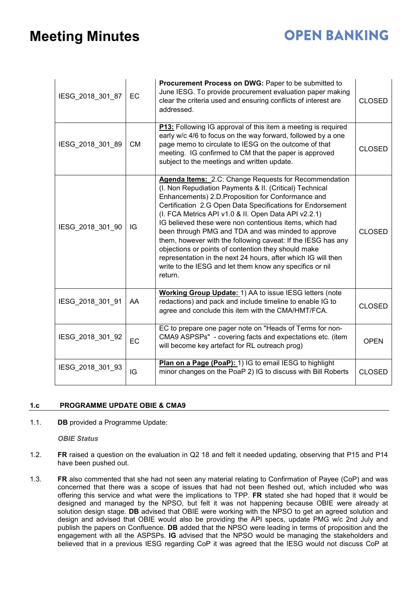# **OPEN BANKING**

| IESG_2018_301_87 | EC        | Procurement Process on DWG: Paper to be submitted to<br>June IESG. To provide procurement evaluation paper making<br>clear the criteria used and ensuring conflicts of interest are<br>addressed.                                                                                                                                                                                                                                                                                                                                                                                                                                                                            | <b>CLOSED</b> |
|------------------|-----------|------------------------------------------------------------------------------------------------------------------------------------------------------------------------------------------------------------------------------------------------------------------------------------------------------------------------------------------------------------------------------------------------------------------------------------------------------------------------------------------------------------------------------------------------------------------------------------------------------------------------------------------------------------------------------|---------------|
| IESG_2018_301_89 | <b>CM</b> | P13: Following IG approval of this item a meeting is required<br>early w/c 4/6 to focus on the way forward, followed by a one<br>page memo to circulate to IESG on the outcome of that<br>meeting. IG confirmed to CM that the paper is approved<br>subject to the meetings and written update.                                                                                                                                                                                                                                                                                                                                                                              | <b>CLOSED</b> |
| IESG_2018_301_90 | IG        | Agenda Items: 2.C: Change Requests for Recommendation<br>(I. Non Repudiation Payments & II. (Critical) Technical<br>Enhancements) 2.D. Proposition for Conformance and<br>Certification 2.G Open Data Specifications for Endorsement<br>(I. FCA Metrics API v1.0 & II. Open Data API v2.2.1)<br>IG believed these were non contentious items, which had<br>been through PMG and TDA and was minded to approve<br>them, however with the following caveat: If the IESG has any<br>objections or points of contention they should make<br>representation in the next 24 hours, after which IG will then<br>write to the IESG and let them know any specifics or nil<br>return. | <b>CLOSED</b> |
| IESG_2018_301_91 | AA        | Working Group Update: 1) AA to issue IESG letters (note<br>redactions) and pack and include timeline to enable IG to<br>agree and conclude this item with the CMA/HMT/FCA.                                                                                                                                                                                                                                                                                                                                                                                                                                                                                                   | <b>CLOSED</b> |
| IESG_2018_301_92 | EC        | EC to prepare one pager note on "Heads of Terms for non-<br>CMA9 ASPSPs" - covering facts and expectations etc. (item<br>will become key artefact for RL outreach prog)                                                                                                                                                                                                                                                                                                                                                                                                                                                                                                      | <b>OPEN</b>   |
| IESG_2018_301_93 | IG        | Plan on a Page (PoaP): 1) IG to email IESG to highlight<br>minor changes on the PoaP 2) IG to discuss with Bill Roberts                                                                                                                                                                                                                                                                                                                                                                                                                                                                                                                                                      | <b>CLOSED</b> |

### **1.c PROGRAMME UPDATE OBIE & CMA9**

1.1. **DB** provided a Programme Update:

*OBIE Status*

- 1.2. **FR** raised a question on the evaluation in Q2 18 and felt it needed updating, observing that P15 and P14 have been pushed out.
- 1.3. **FR** also commented that she had not seen any material relating to Confirmation of Payee (CoP) and was concerned that there was a scope of issues that had not been fleshed out, which included who was offering this service and what were the implications to TPP. **FR** stated she had hoped that it would be designed and managed by the NPSO, but felt it was not happening because OBIE were already at solution design stage. **DB** advised that OBIE were working with the NPSO to get an agreed solution and design and advised that OBIE would also be providing the API specs, update PMG w/c 2nd July and publish the papers on Confluence. **DB** added that the NPSO were leading in terms of proposition and the engagement with all the ASPSPs. **IG** advised that the NPSO would be managing the stakeholders and believed that in a previous IESG regarding CoP it was agreed that the IESG would not discuss CoP at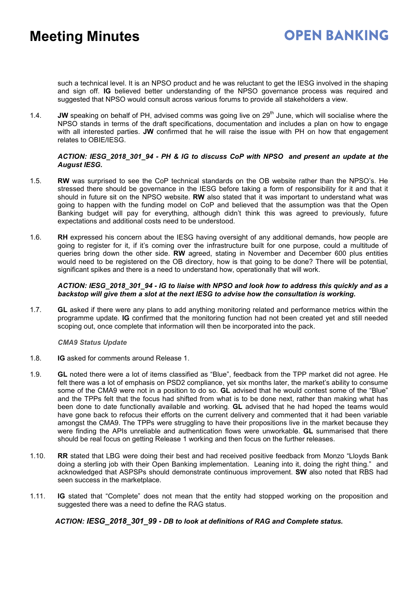such a technical level. It is an NPSO product and he was reluctant to get the IESG involved in the shaping and sign off. **IG** believed better understanding of the NPSO governance process was required and suggested that NPSO would consult across various forums to provide all stakeholders a view.

1.4. **JW** speaking on behalf of PH, advised comms was going live on 29<sup>th</sup> June, which will socialise where the NPSO stands in terms of the draft specifications, documentation and includes a plan on how to engage with all interested parties. **JW** confirmed that he will raise the issue with PH on how that engagement relates to OBIE/IESG.

### *ACTION: IESG\_2018\_301\_94 - PH & IG to discuss CoP with NPSO and present an update at the August IESG.*

- 1.5. **RW** was surprised to see the CoP technical standards on the OB website rather than the NPSO's. He stressed there should be governance in the IESG before taking a form of responsibility for it and that it should in future sit on the NPSO website. **RW** also stated that it was important to understand what was going to happen with the funding model on CoP and believed that the assumption was that the Open Banking budget will pay for everything, although didn't think this was agreed to previously, future expectations and additional costs need to be understood.
- 1.6. **RH** expressed his concern about the IESG having oversight of any additional demands, how people are going to register for it, if it's coming over the infrastructure built for one purpose, could a multitude of queries bring down the other side. **RW** agreed, stating in November and December 600 plus entities would need to be registered on the OB directory, how is that going to be done? There will be potential, significant spikes and there is a need to understand how, operationally that will work.

### *ACTION: IESG\_2018\_301\_94 - IG to liaise with NPSO and look how to address this quickly and as a backstop will give them a slot at the next IESG to advise how the consultation is working.*

1.7. **GL** asked if there were any plans to add anything monitoring related and performance metrics within the programme update. **IG** confirmed that the monitoring function had not been created yet and still needed scoping out, once complete that information will then be incorporated into the pack.

### *CMA9 Status Update*

- 1.8. **IG** asked for comments around Release 1.
- 1.9. **GL** noted there were a lot of items classified as "Blue", feedback from the TPP market did not agree. He felt there was a lot of emphasis on PSD2 compliance, yet six months later, the market's ability to consume some of the CMA9 were not in a position to do so. **GL** advised that he would contest some of the "Blue" and the TPPs felt that the focus had shifted from what is to be done next, rather than making what has been done to date functionally available and working. **GL** advised that he had hoped the teams would have gone back to refocus their efforts on the current delivery and commented that it had been variable amongst the CMA9. The TPPs were struggling to have their propositions live in the market because they were finding the APIs unreliable and authentication flows were unworkable. **GL** summarised that there should be real focus on getting Release 1 working and then focus on the further releases.
- 1.10. **RR** stated that LBG were doing their best and had received positive feedback from Monzo "Lloyds Bank doing a sterling job with their Open Banking implementation. Leaning into it, doing the right thing." and acknowledged that ASPSPs should demonstrate continuous improvement. **SW** also noted that RBS had seen success in the marketplace.
- 1.11. **IG** stated that "Complete" does not mean that the entity had stopped working on the proposition and suggested there was a need to define the RAG status.

### *ACTION: IESG\_2018\_301\_99 - DB to look at definitions of RAG and Complete status.*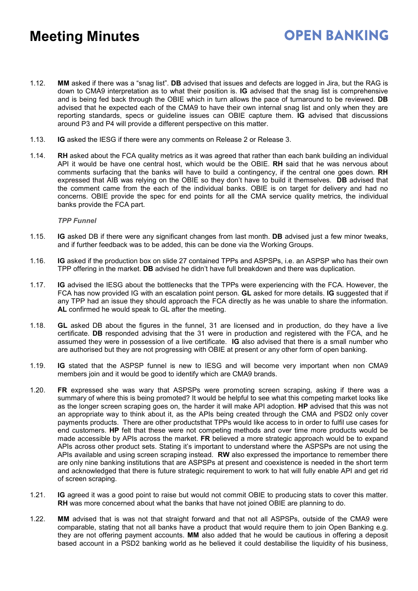1.12. **MM** asked if there was a "snag list". **DB** advised that issues and defects are logged in Jira, but the RAG is down to CMA9 interpretation as to what their position is. **IG** advised that the snag list is comprehensive and is being fed back through the OBIE which in turn allows the pace of turnaround to be reviewed. **DB** advised that he expected each of the CMA9 to have their own internal snag list and only when they are reporting standards, specs or guideline issues can OBIE capture them. **IG** advised that discussions around P3 and P4 will provide a different perspective on this matter.

**OPEN BANKING** 

- 1.13. **IG** asked the IESG if there were any comments on Release 2 or Release 3.
- 1.14. **RH** asked about the FCA quality metrics as it was agreed that rather than each bank building an individual API it would be have one central host, which would be the OBIE. **RH** said that he was nervous about comments surfacing that the banks will have to build a contingency, if the central one goes down. **RH** expressed that AIB was relying on the OBIE so they don't have to build it themselves. **DB** advised that the comment came from the each of the individual banks. OBIE is on target for delivery and had no concerns. OBIE provide the spec for end points for all the CMA service quality metrics, the individual banks provide the FCA part.

#### *TPP Funnel*

- 1.15. **IG** asked DB if there were any significant changes from last month. **DB** advised just a few minor tweaks, and if further feedback was to be added, this can be done via the Working Groups.
- 1.16. **IG** asked if the production box on slide 27 contained TPPs and ASPSPs, i.e. an ASPSP who has their own TPP offering in the market. **DB** advised he didn't have full breakdown and there was duplication.
- 1.17. **IG** advised the IESG about the bottlenecks that the TPPs were experiencing with the FCA. However, the FCA has now provided IG with an escalation point person. **GL** asked for more details. **IG** suggested that if any TPP had an issue they should approach the FCA directly as he was unable to share the information. **AL** confirmed he would speak to GL after the meeting.
- 1.18. **GL** asked DB about the figures in the funnel, 31 are licensed and in production, do they have a live certificate. **DB** responded advising that the 31 were in production and registered with the FCA, and he assumed they were in possession of a live certificate. **IG** also advised that there is a small number who are authorised but they are not progressing with OBIE at present or any other form of open banking.
- 1.19. **IG** stated that the ASPSP funnel is new to IESG and will become very important when non CMA9 members join and it would be good to identify which are CMA9 brands.
- 1.20. **FR** expressed she was wary that ASPSPs were promoting screen scraping, asking if there was a summary of where this is being promoted? It would be helpful to see what this competing market looks like as the longer screen scraping goes on, the harder it will make API adoption. **HP** advised that this was not an appropriate way to think about it, as the APIs being created through the CMA and PSD2 only cover payments products. There are other productsthat TPPs would like access to in order to fulfil use cases for end customers. **HP** felt that these were not competing methods and over time more products would be made accessible by APIs across the market. **FR** believed a more strategic approach would be to expand APIs across other product sets. Stating it's important to understand where the ASPSPs are not using the APIs available and using screen scraping instead. **RW** also expressed the importance to remember there are only nine banking institutions that are ASPSPs at present and coexistence is needed in the short term and acknowledged that there is future strategic requirement to work to hat will fully enable API and get rid of screen scraping.
- 1.21. **IG** agreed it was a good point to raise but would not commit OBIE to producing stats to cover this matter. **RH** was more concerned about what the banks that have not joined OBIE are planning to do.
- 1.22. **MM** advised that is was not that straight forward and that not all ASPSPs, outside of the CMA9 were comparable, stating that not all banks have a product that would require them to join Open Banking e.g. they are not offering payment accounts. **MM** also added that he would be cautious in offering a deposit based account in a PSD2 banking world as he believed it could destabilise the liquidity of his business,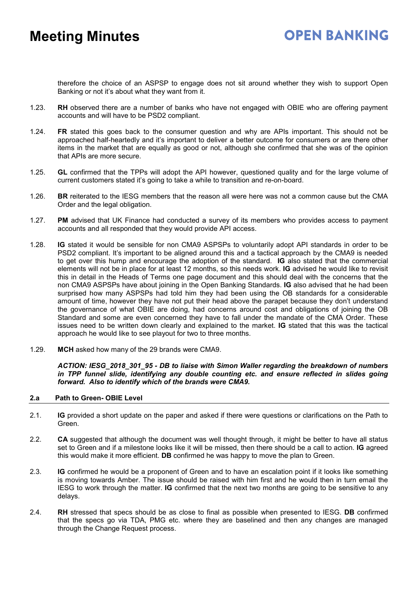therefore the choice of an ASPSP to engage does not sit around whether they wish to support Open Banking or not it's about what they want from it.

- 1.23. **RH** observed there are a number of banks who have not engaged with OBIE who are offering payment accounts and will have to be PSD2 compliant.
- 1.24. **FR** stated this goes back to the consumer question and why are APIs important. This should not be approached half-heartedly and it's important to deliver a better outcome for consumers or are there other items in the market that are equally as good or not, although she confirmed that she was of the opinion that APIs are more secure.
- 1.25. **GL** confirmed that the TPPs will adopt the API however, questioned quality and for the large volume of current customers stated it's going to take a while to transition and re-on-board.
- 1.26. **BR** reiterated to the IESG members that the reason all were here was not a common cause but the CMA Order and the legal obligation.
- 1.27. **PM** advised that UK Finance had conducted a survey of its members who provides access to payment accounts and all responded that they would provide API access.
- 1.28. **IG** stated it would be sensible for non CMA9 ASPSPs to voluntarily adopt API standards in order to be PSD2 compliant. It's important to be aligned around this and a tactical approach by the CMA9 is needed to get over this hump and encourage the adoption of the standard. **IG** also stated that the commercial elements will not be in place for at least 12 months, so this needs work. **IG** advised he would like to revisit this in detail in the Heads of Terms one page document and this should deal with the concerns that the non CMA9 ASPSPs have about joining in the Open Banking Standards. **IG** also advised that he had been surprised how many ASPSPs had told him they had been using the OB standards for a considerable amount of time, however they have not put their head above the parapet because they don't understand the governance of what OBIE are doing, had concerns around cost and obligations of joining the OB Standard and some are even concerned they have to fall under the mandate of the CMA Order. These issues need to be written down clearly and explained to the market. **IG** stated that this was the tactical approach he would like to see playout for two to three months.
- 1.29. **MCH** asked how many of the 29 brands were CMA9.

*ACTION: IESG\_2018\_301\_95 - DB to liaise with Simon Waller regarding the breakdown of numbers in TPP funnel slide, identifying any double counting etc. and ensure reflected in slides going forward. Also to identify which of the brands were CMA9.*

#### **2.a Path to Green- OBIE Level**

- 2.1. **IG** provided a short update on the paper and asked if there were questions or clarifications on the Path to Green.
- 2.2. **CA** suggested that although the document was well thought through, it might be better to have all status set to Green and if a milestone looks like it will be missed, then there should be a call to action. **IG** agreed this would make it more efficient. **DB** confirmed he was happy to move the plan to Green.
- 2.3. **IG** confirmed he would be a proponent of Green and to have an escalation point if it looks like something is moving towards Amber. The issue should be raised with him first and he would then in turn email the IESG to work through the matter. **IG** confirmed that the next two months are going to be sensitive to any delays.
- 2.4. **RH** stressed that specs should be as close to final as possible when presented to IESG. **DB** confirmed that the specs go via TDA, PMG etc. where they are baselined and then any changes are managed through the Change Request process.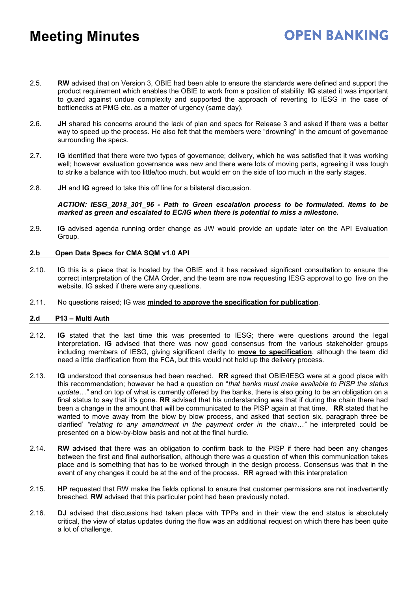2.5. **RW** advised that on Version 3, OBIE had been able to ensure the standards were defined and support the product requirement which enables the OBIE to work from a position of stability. **IG** stated it was important to guard against undue complexity and supported the approach of reverting to IESG in the case of bottlenecks at PMG etc. as a matter of urgency (same day).

**OPEN BANKING** 

- 2.6. **JH** shared his concerns around the lack of plan and specs for Release 3 and asked if there was a better way to speed up the process. He also felt that the members were "drowning" in the amount of governance surrounding the specs.
- 2.7. **IG** identified that there were two types of governance; delivery, which he was satisfied that it was working well; however evaluation governance was new and there were lots of moving parts, agreeing it was tough to strike a balance with too little/too much, but would err on the side of too much in the early stages.
- 2.8. **JH** and **IG** agreed to take this off line for a bilateral discussion.

*ACTION: IESG\_2018\_301\_96 - Path to Green escalation process to be formulated. Items to be marked as green and escalated to EC/IG when there is potential to miss a milestone.*

2.9. **IG** advised agenda running order change as JW would provide an update later on the API Evaluation Group.

#### **2.b Open Data Specs for CMA SQM v1.0 API**

- 2.10. IG this is a piece that is hosted by the OBIE and it has received significant consultation to ensure the correct interpretation of the CMA Order, and the team are now requesting IESG approval to go live on the website. IG asked if there were any questions.
- 2.11. No questions raised; IG was **minded to approve the specification for publication**.

#### **2.d P13 – Multi Auth**

- 2.12. **IG** stated that the last time this was presented to IESG; there were questions around the legal interpretation. **IG** advised that there was now good consensus from the various stakeholder groups including members of IESG, giving significant clarity to **move to specification**, although the team did need a little clarification from the FCA, but this would not hold up the delivery process.
- 2.13. **IG** understood that consensus had been reached. **RR** agreed that OBIE/IESG were at a good place with this recommendation; however he had a question on "*that banks must make available to PISP the status update…"* and on top of what is currently offered by the banks, there is also going to be an obligation on a final status to say that it's gone. **RR** advised that his understanding was that if during the chain there had been a change in the amount that will be communicated to the PISP again at that time. **RR** stated that he wanted to move away from the blow by blow process, and asked that section six, paragraph three be clarified' *"relating to any amendment in the payment order in the chain…"* he interpreted could be presented on a blow-by-blow basis and not at the final hurdle.
- 2.14. **RW** advised that there was an obligation to confirm back to the PISP if there had been any changes between the first and final authorisation, although there was a question of when this communication takes place and is something that has to be worked through in the design process. Consensus was that in the event of any changes it could be at the end of the process. RR agreed with this interpretation
- 2.15. **HP** requested that RW make the fields optional to ensure that customer permissions are not inadvertently breached. **RW** advised that this particular point had been previously noted.
- 2.16. **DJ** advised that discussions had taken place with TPPs and in their view the end status is absolutely critical, the view of status updates during the flow was an additional request on which there has been quite a lot of challenge.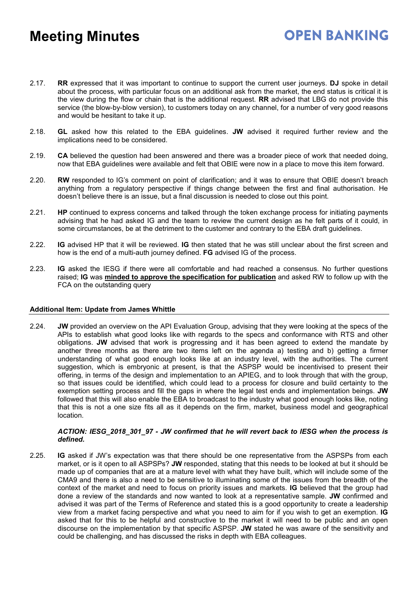2.17. **RR** expressed that it was important to continue to support the current user journeys. **DJ** spoke in detail about the process, with particular focus on an additional ask from the market, the end status is critical it is the view during the flow or chain that is the additional request. **RR** advised that LBG do not provide this service (the blow-by-blow version), to customers today on any channel, for a number of very good reasons and would be hesitant to take it up.

**OPEN BANKING** 

- 2.18. **GL** asked how this related to the EBA guidelines. **JW** advised it required further review and the implications need to be considered.
- 2.19. **CA** believed the question had been answered and there was a broader piece of work that needed doing, now that EBA guidelines were available and felt that OBIE were now in a place to move this item forward.
- 2.20. **RW** responded to IG's comment on point of clarification; and it was to ensure that OBIE doesn't breach anything from a regulatory perspective if things change between the first and final authorisation. He doesn't believe there is an issue, but a final discussion is needed to close out this point.
- 2.21. **HP** continued to express concerns and talked through the token exchange process for initiating payments advising that he had asked IG and the team to review the current design as he felt parts of it could, in some circumstances, be at the detriment to the customer and contrary to the EBA draft guidelines.
- 2.22. **IG** advised HP that it will be reviewed. **IG** then stated that he was still unclear about the first screen and how is the end of a multi-auth journey defined. **FG** advised IG of the process.
- 2.23. **IG** asked the IESG if there were all comfortable and had reached a consensus. No further questions raised; **IG** was **minded to approve the specification for publication** and asked RW to follow up with the FCA on the outstanding query

### **Additional Item: Update from James Whittle**

2.24. **JW** provided an overview on the API Evaluation Group, advising that they were looking at the specs of the APIs to establish what good looks like with regards to the specs and conformance with RTS and other obligations. **JW** advised that work is progressing and it has been agreed to extend the mandate by another three months as there are two items left on the agenda a) testing and b) getting a firmer understanding of what good enough looks like at an industry level, with the authorities. The current suggestion, which is embryonic at present, is that the ASPSP would be incentivised to present their offering, in terms of the design and implementation to an APIEG, and to look through that with the group, so that issues could be identified, which could lead to a process for closure and build certainty to the exemption setting process and fill the gaps in where the legal test ends and implementation beings. **JW** followed that this will also enable the EBA to broadcast to the industry what good enough looks like, noting that this is not a one size fits all as it depends on the firm, market, business model and geographical location.

### *ACTION: IESG\_2018\_301\_97 - JW confirmed that he will revert back to IESG when the process is defined.*

2.25. **IG** asked if JW's expectation was that there should be one representative from the ASPSPs from each market, or is it open to all ASPSPs? **JW** responded, stating that this needs to be looked at but it should be made up of companies that are at a mature level with what they have built, which will include some of the CMA9 and there is also a need to be sensitive to illuminating some of the issues from the breadth of the context of the market and need to focus on priority issues and markets. **IG** believed that the group had done a review of the standards and now wanted to look at a representative sample. **JW** confirmed and advised it was part of the Terms of Reference and stated this is a good opportunity to create a leadership view from a market facing perspective and what you need to aim for if you wish to get an exemption. **IG** asked that for this to be helpful and constructive to the market it will need to be public and an open discourse on the implementation by that specific ASPSP. **JW** stated he was aware of the sensitivity and could be challenging, and has discussed the risks in depth with EBA colleagues.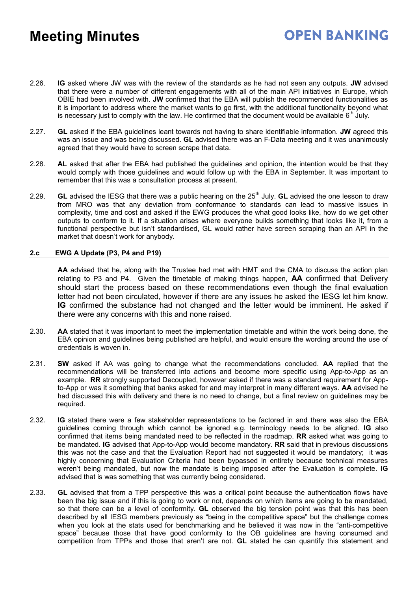2.26. **IG** asked where JW was with the review of the standards as he had not seen any outputs. **JW** advised that there were a number of different engagements with all of the main API initiatives in Europe, which OBIE had been involved with. **JW** confirmed that the EBA will publish the recommended functionalities as it is important to address where the market wants to go first, with the additional functionality beyond what is necessary just to comply with the law. He confirmed that the document would be available  $6<sup>th</sup>$  July.

**OPEN BANKING** 

- 2.27. **GL** asked if the EBA guidelines leant towards not having to share identifiable information. **JW** agreed this was an issue and was being discussed. **GL** advised there was an F-Data meeting and it was unanimously agreed that they would have to screen scrape that data.
- 2.28. **AL** asked that after the EBA had published the guidelines and opinion, the intention would be that they would comply with those guidelines and would follow up with the EBA in September. It was important to remember that this was a consultation process at present.
- 2.29. **GL** advised the IESG that there was a public hearing on the 25<sup>th</sup> July. **GL** advised the one lesson to draw from MRO was that any deviation from conformance to standards can lead to massive issues in complexity, time and cost and asked if the EWG produces the what good looks like, how do we get other outputs to conform to it. If a situation arises where everyone builds something that looks like it, from a functional perspective but isn't standardised, GL would rather have screen scraping than an API in the market that doesn't work for anybody.

### **2.c EWG A Update (P3, P4 and P19)**

**AA** advised that he, along with the Trustee had met with HMT and the CMA to discuss the action plan relating to P3 and P4. Given the timetable of making things happen, **AA** confirmed that Delivery should start the process based on these recommendations even though the final evaluation letter had not been circulated, however if there are any issues he asked the IESG let him know. **IG** confirmed the substance had not changed and the letter would be imminent. He asked if there were any concerns with this and none raised.

- 2.30. **AA** stated that it was important to meet the implementation timetable and within the work being done, the EBA opinion and guidelines being published are helpful, and would ensure the wording around the use of credentials is woven in.
- 2.31. **SW** asked if AA was going to change what the recommendations concluded. **AA** replied that the recommendations will be transferred into actions and become more specific using App-to-App as an example. **RR** strongly supported Decoupled, however asked if there was a standard requirement for Appto-App or was it something that banks asked for and may interpret in many different ways. **AA** advised he had discussed this with delivery and there is no need to change, but a final review on guidelines may be required.
- 2.32. **IG** stated there were a few stakeholder representations to be factored in and there was also the EBA guidelines coming through which cannot be ignored e.g. terminology needs to be aligned. **IG** also confirmed that items being mandated need to be reflected in the roadmap. **RR** asked what was going to be mandated. **IG** advised that App-to-App would become mandatory. **RR** said that in previous discussions this was not the case and that the Evaluation Report had not suggested it would be mandatory; it was highly concerning that Evaluation Criteria had been bypassed in entirety because technical measures weren't being mandated, but now the mandate is being imposed after the Evaluation is complete. **IG** advised that is was something that was currently being considered.
- 2.33. **GL** advised that from a TPP perspective this was a critical point because the authentication flows have been the big issue and if this is going to work or not, depends on which items are going to be mandated, so that there can be a level of conformity. **GL** observed the big tension point was that this has been described by all IESG members previously as "being in the competitive space" but the challenge comes when you look at the stats used for benchmarking and he believed it was now in the "anti-competitive space" because those that have good conformity to the OB guidelines are having consumed and competition from TPPs and those that aren't are not. **GL** stated he can quantify this statement and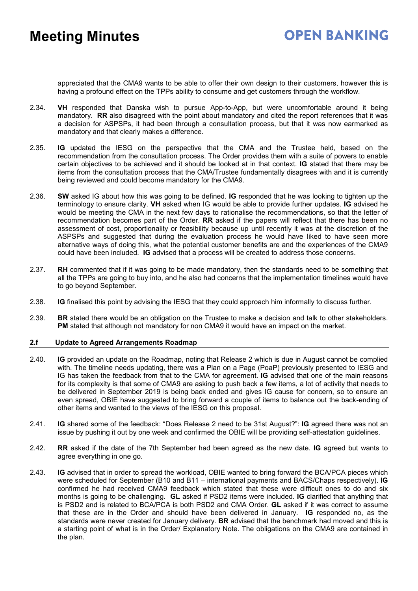appreciated that the CMA9 wants to be able to offer their own design to their customers, however this is having a profound effect on the TPPs ability to consume and get customers through the workflow.

- 2.34. **VH** responded that Danska wish to pursue App-to-App, but were uncomfortable around it being mandatory. **RR** also disagreed with the point about mandatory and cited the report references that it was a decision for ASPSPs, it had been through a consultation process, but that it was now earmarked as mandatory and that clearly makes a difference.
- 2.35. **IG** updated the IESG on the perspective that the CMA and the Trustee held, based on the recommendation from the consultation process. The Order provides them with a suite of powers to enable certain objectives to be achieved and it should be looked at in that context. **IG** stated that there may be items from the consultation process that the CMA/Trustee fundamentally disagrees with and it is currently being reviewed and could become mandatory for the CMA9.
- 2.36. **SW** asked IG about how this was going to be defined. **IG** responded that he was looking to tighten up the terminology to ensure clarity. **VH** asked when IG would be able to provide further updates. **IG** advised he would be meeting the CMA in the next few days to rationalise the recommendations, so that the letter of recommendation becomes part of the Order. **RR** asked if the papers will reflect that there has been no assessment of cost, proportionality or feasibility because up until recently it was at the discretion of the ASPSPs and suggested that during the evaluation process he would have liked to have seen more alternative ways of doing this, what the potential customer benefits are and the experiences of the CMA9 could have been included. **IG** advised that a process will be created to address those concerns.
- 2.37. **RH** commented that if it was going to be made mandatory, then the standards need to be something that all the TPPs are going to buy into, and he also had concerns that the implementation timelines would have to go beyond September.
- 2.38. **IG** finalised this point by advising the IESG that they could approach him informally to discuss further.
- 2.39. **BR** stated there would be an obligation on the Trustee to make a decision and talk to other stakeholders. **PM** stated that although not mandatory for non CMA9 it would have an impact on the market.

### **2.f Update to Agreed Arrangements Roadmap**

- 2.40. **IG** provided an update on the Roadmap, noting that Release 2 which is due in August cannot be complied with. The timeline needs updating, there was a Plan on a Page (PoaP) previously presented to IESG and IG has taken the feedback from that to the CMA for agreement. **IG** advised that one of the main reasons for its complexity is that some of CMA9 are asking to push back a few items, a lot of activity that needs to be delivered in September 2019 is being back ended and gives IG cause for concern, so to ensure an even spread, OBIE have suggested to bring forward a couple of items to balance out the back-ending of other items and wanted to the views of the IESG on this proposal.
- 2.41. **IG** shared some of the feedback: "Does Release 2 need to be 31st August?": **IG** agreed there was not an issue by pushing it out by one week and confirmed the OBIE will be providing self-attestation guidelines.
- 2.42. **RR** asked if the date of the 7th September had been agreed as the new date. **IG** agreed but wants to agree everything in one go.
- 2.43. **IG** advised that in order to spread the workload, OBIE wanted to bring forward the BCA/PCA pieces which were scheduled for September (B10 and B11 – international payments and BACS/Chaps respectively). **IG** confirmed he had received CMA9 feedback which stated that these were difficult ones to do and six months is going to be challenging. **GL** asked if PSD2 items were included. **IG** clarified that anything that is PSD2 and is related to BCA/PCA is both PSD2 and CMA Order. **GL** asked if it was correct to assume that these are in the Order and should have been delivered in January. **IG** responded no, as the standards were never created for January delivery. **BR** advised that the benchmark had moved and this is a starting point of what is in the Order/ Explanatory Note. The obligations on the CMA9 are contained in the plan.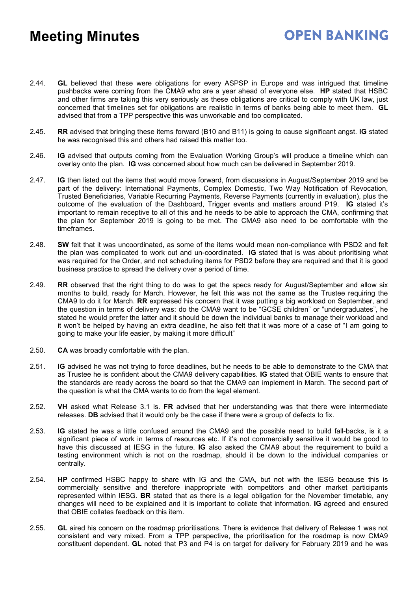## **OPEN BANKING**

- 2.44. **GL** believed that these were obligations for every ASPSP in Europe and was intrigued that timeline pushbacks were coming from the CMA9 who are a year ahead of everyone else. **HP** stated that HSBC and other firms are taking this very seriously as these obligations are critical to comply with UK law, just concerned that timelines set for obligations are realistic in terms of banks being able to meet them. **GL** advised that from a TPP perspective this was unworkable and too complicated.
- 2.45. **RR** advised that bringing these items forward (B10 and B11) is going to cause significant angst. **IG** stated he was recognised this and others had raised this matter too.
- 2.46. **IG** advised that outputs coming from the Evaluation Working Group's will produce a timeline which can overlay onto the plan. **IG** was concerned about how much can be delivered in September 2019.
- 2.47. **IG** then listed out the items that would move forward, from discussions in August/September 2019 and be part of the delivery: International Payments, Complex Domestic, Two Way Notification of Revocation, Trusted Beneficiaries, Variable Recurring Payments, Reverse Payments (currently in evaluation), plus the outcome of the evaluation of the Dashboard, Trigger events and matters around P19. **IG** stated it's important to remain receptive to all of this and he needs to be able to approach the CMA, confirming that the plan for September 2019 is going to be met. The CMA9 also need to be comfortable with the timeframes.
- 2.48. **SW** felt that it was uncoordinated, as some of the items would mean non-compliance with PSD2 and felt the plan was complicated to work out and un-coordinated. **IG** stated that is was about prioritising what was required for the Order, and not scheduling items for PSD2 before they are required and that it is good business practice to spread the delivery over a period of time.
- 2.49. **RR** observed that the right thing to do was to get the specs ready for August/September and allow six months to build, ready for March. However, he felt this was not the same as the Trustee requiring the CMA9 to do it for March. **RR** expressed his concern that it was putting a big workload on September, and the question in terms of delivery was: do the CMA9 want to be "GCSE children" or "undergraduates", he stated he would prefer the latter and it should be down the individual banks to manage their workload and it won't be helped by having an extra deadline, he also felt that it was more of a case of "I am going to going to make your life easier, by making it more difficult"
- 2.50. **CA** was broadly comfortable with the plan.
- 2.51. **IG** advised he was not trying to force deadlines, but he needs to be able to demonstrate to the CMA that as Trustee he is confident about the CMA9 delivery capabilities. **IG** stated that OBIE wants to ensure that the standards are ready across the board so that the CMA9 can implement in March. The second part of the question is what the CMA wants to do from the legal element.
- 2.52. **VH** asked what Release 3.1 is. **FR** advised that her understanding was that there were intermediate releases. **DB** advised that it would only be the case if there were a group of defects to fix.
- 2.53. **IG** stated he was a little confused around the CMA9 and the possible need to build fall-backs, is it a significant piece of work in terms of resources etc. If it's not commercially sensitive it would be good to have this discussed at IESG in the future. **IG** also asked the CMA9 about the requirement to build a testing environment which is not on the roadmap, should it be down to the individual companies or centrally.
- 2.54. **HP** confirmed HSBC happy to share with IG and the CMA, but not with the IESG because this is commercially sensitive and therefore inappropriate with competitors and other market participants represented within IESG. **BR** stated that as there is a legal obligation for the November timetable, any changes will need to be explained and it is important to collate that information. **IG** agreed and ensured that OBIE collates feedback on this item.
- 2.55. **GL** aired his concern on the roadmap prioritisations. There is evidence that delivery of Release 1 was not consistent and very mixed. From a TPP perspective, the prioritisation for the roadmap is now CMA9 constituent dependent. **GL** noted that P3 and P4 is on target for delivery for February 2019 and he was